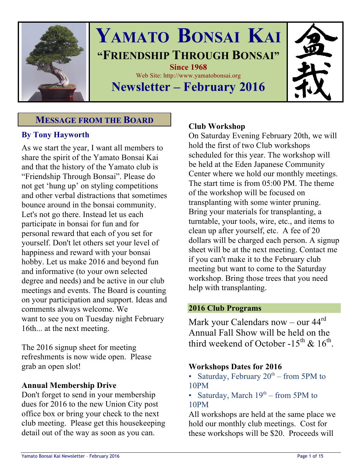

# **YAMATO BONSAI KAI "FRIENDSHIP THROUGH BONSAI" Since 1968** Web Site: http://www.yamatobonsai.org

# **Newsletter – February 2016**

# **MESSAGE FROM THE BOARD**

# **By Tony Hayworth**

As we start the year, I want all members to share the spirit of the Yamato Bonsai Kai and that the history of the Yamato club is "Friendship Through Bonsai". Please do not get 'hung up' on styling competitions and other verbal distractions that sometimes bounce around in the bonsai community. Let's not go there. Instead let us each participate in bonsai for fun and for personal reward that each of you set for yourself. Don't let others set your level of happiness and reward with your bonsai hobby. Let us make 2016 and beyond fun and informative (to your own selected degree and needs) and be active in our club meetings and events. The Board is counting on your participation and support. Ideas and comments always welcome. We want to see you on Tuesday night February 16th... at the next meeting.

The 2016 signup sheet for meeting refreshments is now wide open. Please grab an open slot!

# **Annual Membership Drive**

Don't forget to send in your membership dues for 2016 to the new Union City post office box or bring your check to the next club meeting. Please get this housekeeping detail out of the way as soon as you can.

### **Club Workshop**

On Saturday Evening February 20th, we will hold the first of two Club workshops scheduled for this year. The workshop will be held at the Eden Japanese Community Center where we hold our monthly meetings. The start time is from 05:00 PM. The theme of the workshop will be focused on transplanting with some winter pruning. Bring your materials for transplanting, a turntable, your tools, wire, etc., and items to clean up after yourself, etc. A fee of 20 dollars will be charged each person. A signup sheet will be at the next meeting. Contact me if you can't make it to the February club meeting but want to come to the Saturday workshop. Bring those trees that you need help with transplanting.

### **2016 Club Programs**

Mark your Calendars now – our 44rd Annual Fall Show will be held on the third weekend of October -15<sup>th</sup> & 16<sup>th</sup>.

### **Workshops Dates for 2016**

- Saturday, February  $20^{th}$  from 5PM to 10PM
- Saturday, March  $19<sup>th</sup>$  from 5PM to 10PM

All workshops are held at the same place we hold our monthly club meetings. Cost for these workshops will be \$20. Proceeds will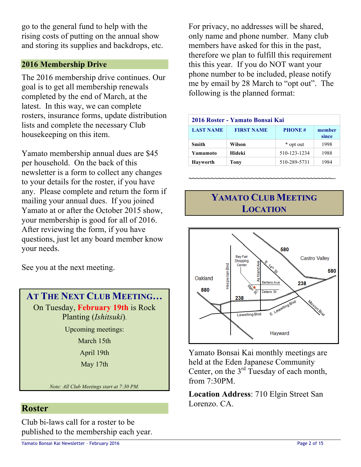go to the general fund to help with the rising costs of putting on the annual show and storing its supplies and backdrops, etc.

### **2016 Membership Drive**

The 2016 membership drive continues. Our goal is to get all membership renewals completed by the end of March, at the latest. In this way, we can complete rosters, insurance forms, update distribution lists and complete the necessary Club housekeeping on this item.

Yamato membership annual dues are \$45 per household. On the back of this newsletter is a form to collect any changes to your details for the roster, if you have any. Please complete and return the form if mailing your annual dues. If you joined Yamato at or after the October 2015 show, your membership is good for all of 2016. After reviewing the form, if you have questions, just let any board member know your needs.

See you at the next meeting.

**AT THE NEXT CLUB MEETING…** On Tuesday, **February 19th** is Rock Planting (*Ishitsuki*).

Upcoming meetings:

March 15th

April 19th

May 17th

*Note: All Club Meetings start at 7:30 PM.*

### **Roster**

Club bi-laws call for a roster to be published to the membership each year.

For privacy, no addresses will be shared, only name and phone number. Many club members have asked for this in the past, therefore we plan to fulfill this requirement this this year. If you do NOT want your phone number to be included, please notify me by email by 28 March to "opt out". The following is the planned format:

| 2016 Roster - Yamato Bonsai Kai |                   |               |                 |
|---------------------------------|-------------------|---------------|-----------------|
| <b>LAST NAME</b>                | <b>FIRST NAME</b> | <b>PHONE#</b> | member<br>since |
| <b>Smith</b>                    | Wilson            | * opt out     | 1998            |
| Yamamoto                        | Hideki            | 510-123-1234  | 1988            |
| <b>Hayworth</b>                 | Tony              | 510-289-5731  | 1984            |

# **YAMATO CLUB MEETING LOCATION**

**~~~~~~~~~~~~~~~~~~~~~~~~~~~~~~~~~~~~~~~–**



Yamato Bonsai Kai monthly meetings are held at the Eden Japanese Community Center, on the  $3<sup>rd</sup>$  Tuesday of each month, from 7:30PM.

**Location Address**: 710 Elgin Street San Lorenzo. CA.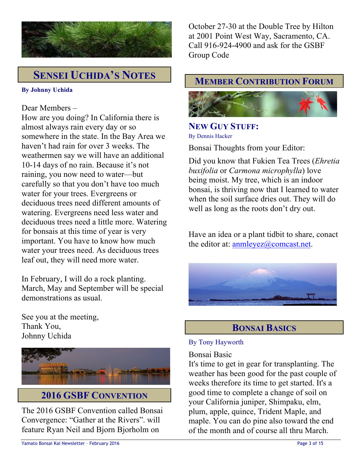

# **SENSEI UCHIDA'S NOTES**

### **By Johnny Uchida**

### Dear Members –

How are you doing? In California there is almost always rain every day or so somewhere in the state. In the Bay Area we haven't had rain for over 3 weeks. The weathermen say we will have an additional 10-14 days of no rain. Because it's not raining, you now need to water—but carefully so that you don't have too much water for your trees. Evergreens or deciduous trees need different amounts of watering. Evergreens need less water and deciduous trees need a little more. Watering for bonsais at this time of year is very important. You have to know how much water your trees need. As deciduous trees leaf out, they will need more water.

In February, I will do a rock planting. March, May and September will be special demonstrations as usual.

See you at the meeting, Thank You, Johnny Uchida



# **2016 GSBF CONVENTION**

The 2016 GSBF Convention called Bonsai Convergence: "Gather at the Rivers". will feature Ryan Neil and Bjorn Bjorholm on

October 27-30 at the Double Tree by Hilton at 2001 Point West Way, Sacramento, CA. Call 916-924-4900 and ask for the GSBF Group Code

## **MEMBER CONTRIBUTION FORUM**



### **NEW GUY STUFF:** By Dennis Hacker

Bonsai Thoughts from your Editor:

Did you know that Fukien Tea Trees (*Ehretia buxifolia* or *Carmona microphylla*) love being moist. My tree, which is an indoor bonsai, is thriving now that I learned to water when the soil surface dries out. They will do well as long as the roots don't dry out.

Have an idea or a plant tidbit to share, conact the editor at: anmleyez@comcast.net.



# **BONSAI BASICS**

### By Tony Hayworth

### Bonsai Basic

It's time to get in gear for transplanting. The weather has been good for the past couple of weeks therefore its time to get started. It's a good time to complete a change of soil on your California juniper, Shimpaku, elm, plum, apple, quince, Trident Maple, and maple. You can do pine also toward the end of the month and of course all thru March.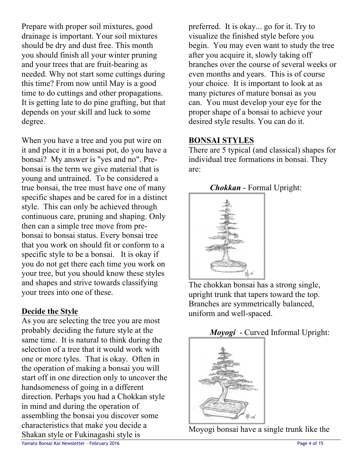Prepare with proper soil mixtures, good drainage is important. Your soil mixtures should be dry and dust free. This month you should finish all your winter pruning and your trees that are fruit-bearing as needed. Why not start some cuttings during this time? From now until May is a good time to do cuttings and other propagations. It is getting late to do pine grafting, but that depends on your skill and luck to some degree.

When you have a tree and you put wire on it and place it in a bonsai pot, do you have a bonsai? My answer is "yes and no". Prebonsai is the term we give material that is young and untrained. To be considered a true bonsai, the tree must have one of many specific shapes and be cared for in a distinct style. This can only be achieved through continuous care, pruning and shaping. Only then can a simple tree move from prebonsai to bonsai status. Every bonsai tree that you work on should fit or conform to a specific style to be a bonsai. It is okay if you do not get there each time you work on your tree, but you should know these styles and shapes and strive towards classifying your trees into one of these.

# **Decide the Style**

As you are selecting the tree you are most probably deciding the future style at the same time. It is natural to think during the selection of a tree that it would work with one or more tyles. That is okay. Often in the operation of making a bonsai you will start off in one direction only to uncover the handsomeness of going in a different direction. Perhaps you had a Chokkan style in mind and during the operation of assembling the bonsai you discover some characteristics that make you decide a Shakan style or Fukinagashi style is

preferred. It is okay... go for it. Try to visualize the finished style before you begin. You may even want to study the tree after you acquire it, slowly taking off branches over the course of several weeks or even months and years. This is of course your choice. It is important to look at as many pictures of mature bonsai as you can. You must develop your eye for the proper shape of a bonsai to achieve your desired style results. You can do it.

## **BONSAI STYLES**

There are 5 typical (and classical) shapes for individual tree formations in bonsai. They are:

# *Chokkan* - Formal Upright:



The chokkan bonsai has a strong single, upright trunk that tapers toward the top. Branches are symmetrically balanced, uniform and well-spaced.

# *Moyogi* - Curved Informal Upright:



Moyogi bonsai have a single trunk like the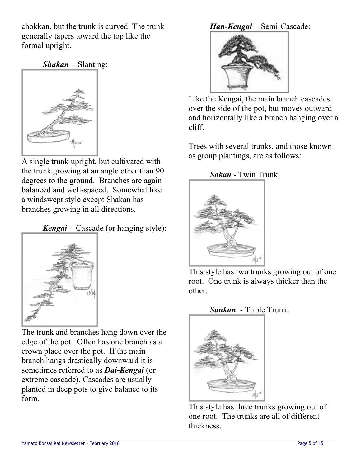chokkan, but the trunk is curved. The trunk generally tapers toward the top like the formal upright.

*Shakan* - Slanting:



A single trunk upright, but cultivated with the trunk growing at an angle other than 90 degrees to the ground. Branches are again balanced and well-spaced. Somewhat like a windswept style except Shakan has branches growing in all directions.

*Kengai* - Cascade (or hanging style):



The trunk and branches hang down over the edge of the pot. Often has one branch as a crown place over the pot. If the main branch hangs drastically downward it is sometimes referred to as *Dai-Kengai* (or extreme cascade). Cascades are usually planted in deep pots to give balance to its form.

# *Han-Kengai* - Semi-Cascade:



Like the Kengai, the main branch cascades over the side of the pot, but moves outward and horizontally like a branch hanging over a cliff.

Trees with several trunks, and those known as group plantings, are as follows:

# *Sokan* - Twin Trunk:



This style has two trunks growing out of one root. One trunk is always thicker than the other.

# *Sankan* - Triple Trunk:



This style has three trunks growing out of one root. The trunks are all of different thickness.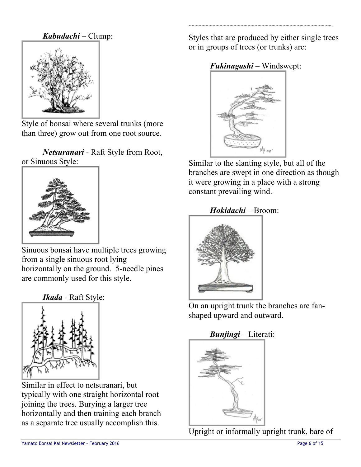*Kabudachi* – Clump:



Style of bonsai where several trunks (more than three) grow out from one root source.

*Netsuranari* - Raft Style from Root, or Sinuous Style:



Sinuous bonsai have multiple trees growing from a single sinuous root lying horizontally on the ground. 5-needle pines are commonly used for this style.

*Ikada* - Raft Style:



Similar in effect to netsuranari, but typically with one straight horizontal root joining the trees. Burying a larger tree horizontally and then training each branch as a separate tree usually accomplish this.

Styles that are produced by either single trees or in groups of trees (or trunks) are:

~~~~~~~~~~~~~~~~~~~~~~~~~~~~~~~~~~~~~~~~~

# *Fukinagashi* – Windswept:



Similar to the slanting style, but all of the branches are swept in one direction as though it were growing in a place with a strong constant prevailing wind.

*Hokidachi* – Broom:



On an upright trunk the branches are fanshaped upward and outward.

# *Bunjingi* – Literati:



Upright or informally upright trunk, bare of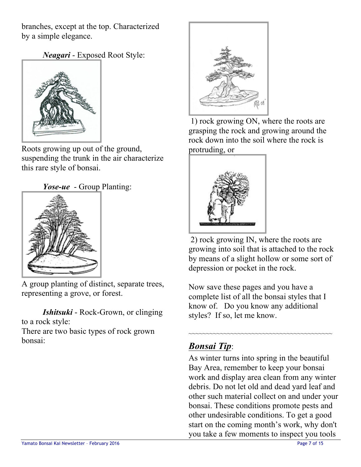branches, except at the top. Characterized by a simple elegance.

*Neagari* - Exposed Root Style:



Roots growing up out of the ground, suspending the trunk in the air characterize this rare style of bonsai.





A group planting of distinct, separate trees, representing a grove, or forest.

*Ishitsuki* - Rock-Grown, or clinging to a rock style:

There are two basic types of rock grown bonsai:



1) rock growing ON, where the roots are grasping the rock and growing around the rock down into the soil where the rock is protruding, or



2) rock growing IN, where the roots are growing into soil that is attached to the rock by means of a slight hollow or some sort of depression or pocket in the rock.

Now save these pages and you have a complete list of all the bonsai styles that I know of. Do you know any additional styles? If so, let me know.

~~~~~~~~~~~~~~~~~~~~~~~~~~~~~~~~~~~~~~~~~

# *Bonsai Tip*:

As winter turns into spring in the beautiful Bay Area, remember to keep your bonsai work and display area clean from any winter debris. Do not let old and dead yard leaf and other such material collect on and under your bonsai. These conditions promote pests and other undesirable conditions. To get a good start on the coming month's work, why don't you take a few moments to inspect you tools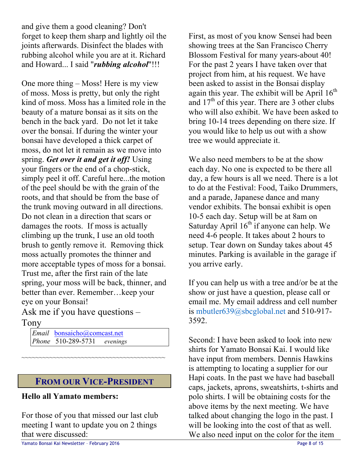and give them a good cleaning? Don't forget to keep them sharp and lightly oil the joints afterwards. Disinfect the blades with rubbing alcohol while you are at it. Richard and Howard... I said "*rubbing alcohol*"!!!

One more thing – Moss! Here is my view of moss. Moss is pretty, but only the right kind of moss. Moss has a limited role in the beauty of a mature bonsai as it sits on the bench in the back yard. Do not let it take over the bonsai. If during the winter your bonsai have developed a thick carpet of moss, do not let it remain as we move into spring. *Get over it and get it off!* Using your fingers or the end of a chop-stick, simply peel it off. Careful here...the motion of the peel should be with the grain of the roots, and that should be from the base of the trunk moving outward in all directions. Do not clean in a direction that scars or damages the roots. If moss is actually climbing up the trunk, I use an old tooth brush to gently remove it. Removing thick moss actually promotes the thinner and more acceptable types of moss for a bonsai. Trust me, after the first rain of the late spring, your moss will be back, thinner, and better than ever. Remember…keep your eye on your Bonsai!

Ask me if you have questions – Tony

*Email* bonsaicho@comcast.net *Phone* 510-289-5731 *evenings*

# **FROM OUR VICE-PRESIDENT**

~~~~~~~~~~~~~~~~~~~~~~~~~~~~~~~~~~~~~~~~~

### **Hello all Yamato members:**

For those of you that missed our last club meeting I want to update you on 2 things that were discussed:

First, as most of you know Sensei had been showing trees at the San Francisco Cherry Blossom Festival for many years-about 40! For the past 2 years I have taken over that project from him, at his request. We have been asked to assist in the Bonsai display again this year. The exhibit will be April  $16<sup>th</sup>$ and  $17<sup>th</sup>$  of this year. There are 3 other clubs who will also exhibit. We have been asked to bring 10-14 trees depending on there size. If you would like to help us out with a show tree we would appreciate it.

We also need members to be at the show each day. No one is expected to be there all day, a few hours is all we need. There is a lot to do at the Festival: Food, Taiko Drummers, and a parade, Japanese dance and many vendor exhibits. The bonsai exhibit is open 10-5 each day. Setup will be at 8am on Saturday April  $16<sup>th</sup>$  if anyone can help. We need 4-6 people. It takes about 2 hours to setup. Tear down on Sunday takes about 45 minutes. Parking is available in the garage if you arrive early.

If you can help us with a tree and/or be at the show or just have a question, please call or email me. My email address and cell number is mbutler639@sbcglobal.net and 510-917- 3592.

Second: I have been asked to look into new shirts for Yamato Bonsai Kai. I would like have input from members. Dennis Hawkins is attempting to locating a supplier for our Hapi coats. In the past we have had baseball caps, jackets, aprons, sweatshirts, t-shirts and polo shirts. I will be obtaining costs for the above items by the next meeting. We have talked about changing the logo in the past. I will be looking into the cost of that as well. We also need input on the color for the item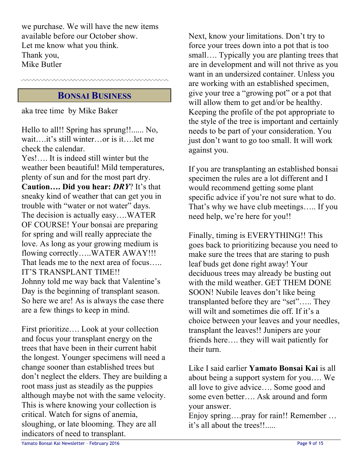we purchase. We will have the new items available before our October show. Let me know what you think. Thank you, Mike Butler

# **BONSAI BUSINESS**

aka tree time by Mike Baker

Hello to all!! Spring has sprung!!...... No, wait….it's still winter…or is it….let me check the calendar. Yes!…. It is indeed still winter but the weather been beautiful! Mild temperatures, plenty of sun and for the most part dry. **Caution…. Did you hear:** *DRY*? It's that sneaky kind of weather that can get you in trouble with "water or not water" days. The decision is actually easy….WATER OF COURSE! Your bonsai are preparing for spring and will really appreciate the love. As long as your growing medium is flowing correctly…..WATER AWAY!!! That leads me to the next area of focus….. IT'S TRANSPLANT TIME!! Johnny told me way back that Valentine's Day is the beginning of transplant season. So here we are! As is always the case there are a few things to keep in mind.

First prioritize…. Look at your collection and focus your transplant energy on the trees that have been in their current habit the longest. Younger specimens will need a change sooner than established trees but don't neglect the elders. They are building a root mass just as steadily as the puppies although maybe not with the same velocity. This is where knowing your collection is critical. Watch for signs of anemia, sloughing, or late blooming. They are all indicators of need to transplant.

Next, know your limitations. Don't try to force your trees down into a pot that is too small…. Typically you are planting trees that are in development and will not thrive as you want in an undersized container. Unless you are working with an established specimen, give your tree a "growing pot" or a pot that will allow them to get and/or be healthy. Keeping the profile of the pot appropriate to the style of the tree is important and certainly needs to be part of your consideration. You just don't want to go too small. It will work against you.

If you are transplanting an established bonsai specimen the rules are a lot different and I would recommend getting some plant specific advice if you're not sure what to do. That's why we have club meetings….. If you need help, we're here for you!!

Finally, timing is EVERYTHING!! This goes back to prioritizing because you need to make sure the trees that are staring to push leaf buds get done right away! Your deciduous trees may already be busting out with the mild weather. GET THEM DONE SOON! Nubile leaves don't like being transplanted before they are "set"….. They will wilt and sometimes die off. If it's a choice between your leaves and your needles, transplant the leaves!! Junipers are your friends here…. they will wait patiently for their turn.

Like I said earlier **Yamato Bonsai Kai** is all about being a support system for you…. We all love to give advice…. Some good and some even better…. Ask around and form your answer.

Enjoy spring….pray for rain!! Remember … it's all about the trees!!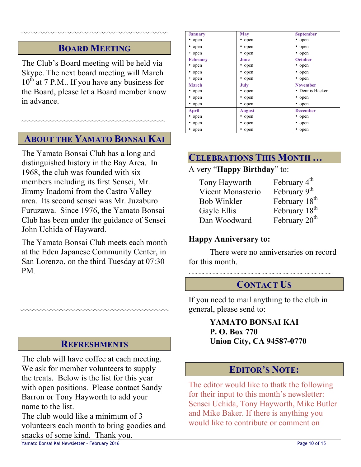# **BOARD MEETING**

The Club's Board meeting will be held via Skype. The next board meeting will March  $10^{th}$  at 7 P.M.. If you have any business for the Board, please let a Board member know in advance.

# **ABOUT THE YAMATO BONSAI KAI**

~~~~~~~~~~~~~~~~~~~~~~~~~~~~~~~~~~~~~~~~~

The Yamato Bonsai Club has a long and distinguished history in the Bay Area. In 1968, the club was founded with six members including its first Sensei, Mr. Jimmy Inadomi from the Castro Valley area. Its second sensei was Mr. Juzaburo Furuzawa. Since 1976, the Yamato Bonsai Club has been under the guidance of Sensei John Uchida of Hayward.

The Yamato Bonsai Club meets each month at the Eden Japanese Community Center, in San Lorenzo, on the third Tuesday at 07:30 PM.

### **REFRESHMENTS**

The club will have coffee at each meeting. We ask for member volunteers to supply the treats. Below is the list for this year with open positions. Please contact Sandy Barron or Tony Hayworth to add your name to the list.

The club would like a minimum of 3 volunteers each month to bring goodies and snacks of some kind. Thank you.

| <b>January</b>  | <b>May</b>    | <b>September</b> |  |
|-----------------|---------------|------------------|--|
| • open          | • open        | • open           |  |
| • open          | • open        | • open           |  |
| • open          | • open        | • open           |  |
| <b>February</b> | June          | <b>October</b>   |  |
| • open          | • open        | • open           |  |
| • open          | • open        | • open           |  |
| • open          | • open        | • open           |  |
| March           | July          | <b>November</b>  |  |
| • open          | • open        | • Dennis Hacker  |  |
| • open          | • open        | • open           |  |
| • open          | • open        | • open           |  |
| April           | <b>August</b> | <b>December</b>  |  |
| • open          | • open        | • open           |  |
| • open          | • open        | • open           |  |
| • open          | • open        | • open           |  |

# **CELEBRATIONS THIS MONTH …**

### A very "**Happy Birthday**" to:

| Tony Hayworth      | February 4 <sup>th</sup>  |
|--------------------|---------------------------|
| Vicent Monasterio  | February 9 <sup>th</sup>  |
| <b>Bob Winkler</b> | February 18 <sup>th</sup> |
| Gayle Ellis        | February 18 <sup>th</sup> |
| Dan Woodward       | February 20 <sup>th</sup> |

### **Happy Anniversary to:**

There were no anniversaries on record for this month.

~~~~~~~~~~~~~~~~~~~~~~~~~~~~~~~~~~~~~~~~~

# **CONTACT US**

If you need to mail anything to the club in general, please send to:

### **YAMATO BONSAI KAI P. O. Box 770 Union City, CA 94587-0770**

# **EDITOR'S NOTE:**

The editor would like to thatk the following for their input to this month's newsletter: Sensei Uchida, Tony Hayworth, Mike Butler and Mike Baker. If there is anything you would like to contribute or comment on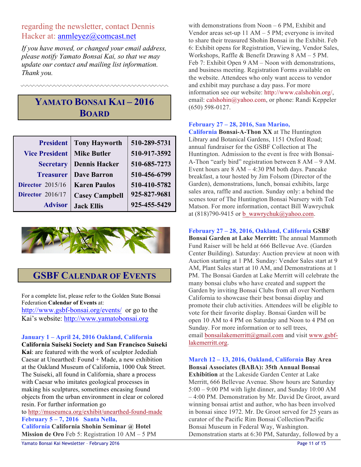### regarding the newsletter, contact Dennis Hacker at: anmleyez@comcast.net

*If you have moved, or changed your email address, please notify Yamato Bonsai Kai, so that we may update our contact and mailing list information. Thank you.*

# **YAMATO BONSAI KAI – 2016 BOARD**

| <b>President</b>        | <b>Tony Hayworth</b>  | 510-289-5731 |
|-------------------------|-----------------------|--------------|
| <b>Vice President</b>   | <b>Mike Butler</b>    | 510-917-3592 |
| <b>Secretary</b>        | <b>Dennis Hacker</b>  | 510-685-7273 |
| <b>Treasurer</b>        | <b>Dave Barron</b>    | 510-456-6799 |
| <b>Director</b> 2015/16 | <b>Karen Paulos</b>   | 510-410-5782 |
| <b>Director</b> 2016/17 | <b>Casey Campbell</b> | 925-827-9681 |
| <b>Advisor</b>          | <b>Jack Ellis</b>     | 925-455-5429 |



# **GSBF CALENDAR OF EVENTS**

For a complete list, please refer to the Golden State Bonsai Federation **Calendar of Events** at:

http://www.gsbf-bonsai.org/events/ or go to the Kai's website: http://www.yamatobonsai.org

#### **January 1 – April 24, 2016 Oakland, California**

**California Suiseki Society and San Francisco Suiseki Kai**: are featured with the work of sculptor Jedediah Caesar at Unearthed: Found + Made, a new exhibition at the Oakland Museum of California, 1000 Oak Street. The Suiseki, all found in California, share a process with Caesar who imitates geological processes in making his sculptures, sometimes encasing found objects from the urban environment in clear or colored resin. For further information go to http://museumca.org/exhibit/unearthed-found-made **February 5 – 7, 2016 Santa Nella, California California Shohin Seminar @ Hotel Mission de Oro** Feb 5: Registration 10 AM – 5 PM

with demonstrations from Noon – 6 PM, Exhibit and Vendor areas set-up 11 AM – 5 PM; everyone is invited to share their treasured Shohin Bonsai in the Exhibit. Feb 6: Exhibit opens for Registration, Viewing, Vendor Sales, Workshops, Raffle & Benefit Drawing 8 AM – 5 PM. Feb 7: Exhibit Open 9 AM – Noon with demonstrations, and business meeting. Registration Forms available on the website. Attendees who only want access to vendor and exhibit may purchase a day pass. For more information see our website: http://www.calshohin.org/, email: calshohin@yahoo.com, or phone: Randi Keppeler (650) 598-0127.

#### **February 27 – 28, 2016, San Marino,**

**California Bonsai-A-Thon XX** at The Huntington Library and Botanical Gardens, 1151 Oxford Road; annual fundraiser for the GSBF Collection at The Huntington. Admission to the event is free with Bonsai-A-Thon "early bird" registration between 8 AM – 9 AM. Event hours are 8 AM – 4:30 PM both days. Pancake breakfast, a tour hosted by Jim Folsom (Director of the Garden), demonstrations, lunch, bonsai exhibits, large sales area, raffle and auction. Sunday only: a behind the scenes tour of The Huntington Bonsai Nursery with Ted Matson. For more information, contact Bill Wawrychuk at  $(818)790-9415$  or b\_wawrychuk@yahoo.com.

**February 27 – 28, 2016, Oakland, California GSBF Bonsai Garden at Lake Merritt:** The annual Mammoth Fund Raiser will be held at 666 Bellevue Ave. (Garden Center Building). Saturday: Auction preview at noon with Auction starting at 1 PM. Sunday: Vendor Sales start at 9 AM, Plant Sales start at 10 AM, and Demonstrations at 1 PM. The Bonsai Garden at Lake Merritt will celebrate the many bonsai clubs who have created and support the Garden by inviting Bonsai Clubs from all over Northern California to showcase their best bonsai display and promote their club activities. Attendees will be eligible to vote for their favorite display. Bonsai Garden will be open 10 AM to 4 PM on Saturday and Noon to 4 PM on Sunday. For more information or to sell trees, email bonsailakemerritt@gmail.com and visit www.gsbflakemerritt.org.

**March 12 – 13, 2016, Oakland, California Bay Area Bonsai Associates (BABA): 35th Annual Bonsai Exhibition** at the Lakeside Garden Center at Lake Merritt, 666 Bellevue Avenue. Show hours are Saturday 5:00 – 9:00 PM with light dinner, and Sunday 10:00 AM – 4:00 PM. Demonstration by Mr. David De Groot, award winning bonsai artist and author, who has been involved in bonsai since 1972. Mr. De Groot served for 25 years as curator of the Pacific Rim Bonsai Collection/Pacific Bonsai Museum in Federal Way, Washington. Demonstration starts at 6:30 PM, Saturday, followed by a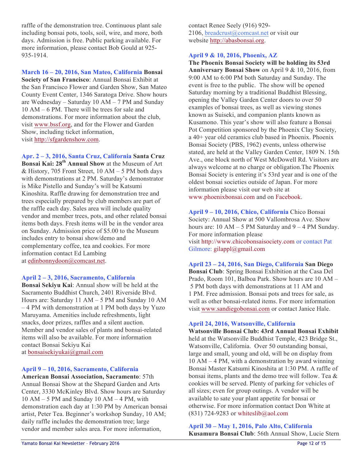raffle of the demonstration tree. Continuous plant sale including bonsai pots, tools, soil, wire, and more, both days. Admission is free. Public parking available. For more information, please contact Bob Gould at 925- 935-1914.

**March 16 – 20, 2016, San Mateo, California Bonsai Society of San Francisco**: Annual Bonsai Exhibit at the San Francisco Flower and Garden Show, San Mateo County Event Center, 1346 Saratoga Drive. Show hours are Wednesday – Saturday 10 AM – 7 PM and Sunday 10 AM – 6 PM. There will be trees for sale and demonstrations. For more information about the club, visit www.bssf.org, and for the Flower and Garden Show, including ticket information, visit http://sfgardenshow.com.

**Apr. 2 – 3, 2016, Santa Cruz, California Santa Cruz Bonsai Kai: 28th Annual Show** at the Museum of Art & History, 705 Front Street, 10 AM – 5 PM both days with demonstrations at 2 PM. Saturday's demonstrator is Mike Pistello and Sunday's will be Katsumi Kinoshita. Raffle drawing for demonstration tree and trees especially prepared by club members are part of the raffle each day. Sales area will include quality vendor and member trees, pots, and other related bonsai items both days. Fresh items will be in the vendor area on Sunday. Admission price of \$5.00 to the Museum includes entry to bonsai show/demo and complementary coffee, tea and cookies. For more information contact Ed Lambing at edinbonnydoon@comcast.net.

#### **April 2 – 3, 2016, Sacramento, California**

**Bonsai Sekiyu Kai**: Annual show will be held at the Sacramento Buddhist Church, 2401 Riverside Blvd. Hours are: Saturday 11 AM – 5 PM and Sunday 10 AM – 4 PM with demonstration at 1 PM both days by Yuzo Maruyama. Amenities include refreshments, light snacks, door prizes, raffles and a silent auction. Member and vendor sales of plants and bonsai-related items will also be available. For more information contact Bonsai Sekiyu Kai at bonsaisekiyukai@gmail.com

#### **April 9 – 10, 2016, Sacramento, California**

**American Bonsai Association, Sacramento**: 57th Annual Bonsai Show at the Shepard Garden and Arts Center, 3330 McKinley Blvd. Show hours are Saturday 10 AM – 5 PM and Sunday 10 AM – 4 PM, with demonstration each day at 1:30 PM by American bonsai artist, Peter Tea. Beginner's workshop Sunday, 10 AM; daily raffle includes the demonstration tree; large vendor and member sales area. For more information,

contact Renee Seely (916) 929- 2106, breadcrust@comcast.net or visit our website http://abasbonsai.org.

#### **April 9 & 10, 2016, Phoenix, AZ**

**The Phoenix Bonsai Society will be holding its 53rd Anniversary Bonsai Show** on April 9 & 10, 2016, from 9:00 AM to 6:00 PM both Saturday and Sunday. The event is free to the public. The show will be opened Saturday morning by a traditional Buddhist Blessing, opening the Valley Garden Center doors to over 50 examples of bonsai trees, as well as viewing stones known as Suiseki, and companion plants known as Kusamono. This year's show will also feature a Bonsai Pot Competition sponsored by the Phoenix Clay Society, a 40+ year old ceramics club based in Phoenix. Phoenix Bonsai Society (PBS, 1962) events, unless otherwise stated, are held at the Valley Garden Center, 1809 N. 15th Ave., one block north of West McDowell Rd. Visitors are always welcome at no charge or obligation.The Phoenix Bonsai Society is entering it's 53rd year and is one of the oldest bonsai societies outside of Japan. For more information please visit our web site at www.phoenixbonsai.com and on Facebook.

**April 9 – 10, 2016, Chico, California** Chico Bonsai Society: Annual Show at 500 Vallombrosa Ave. Show hours are:  $10 AM - 5 PM$  Saturday and  $9 - 4 PM$  Sunday. For more information please visit http://www.chicobonsaisociety.com or contact Pat Gilmore: gilappl@gmail.com

**April 23 – 24, 2016, San Diego, California San Diego Bonsai Club**: Spring Bonsai Exhibition at the Casa Del Prado, Room 101, Balboa Park. Show hours are 10 AM – 5 PM both days with demonstrations at 11 AM and 1 PM. Free admission. Bonsai pots and trees for sale, as well as other bonsai-related items. For more information visit www.sandiegobonsai.com or contact Janice Hale.

#### **April 24, 2016, Watsonville, California**

**Watsonville Bonsai Club: 43rd Annual Bonsai Exhibit** held at the Watsonville Buddhist Temple, 423 Bridge St., Watsonville, California. Over 50 outstanding bonsai, large and small, young and old, will be on display from 10 AM – 4 PM, with a demonstration by award winning Bonsai Master Katsumi Kinoshita at 1:30 PM. A raffle of bonsai items, plants and the demo tree will follow. Tea & cookies will be served. Plenty of parking for vehicles of all sizes; even for group outings. A vendor will be available to sate your plant appetite for bonsai or otherwise. For more information contact Don White at  $(831)$  724-9283 or whiteslib@aol.com

**April 30 – May 1, 2016, Palo Alto, California Kusamura Bonsai Club**: 56th Annual Show, Lucie Stern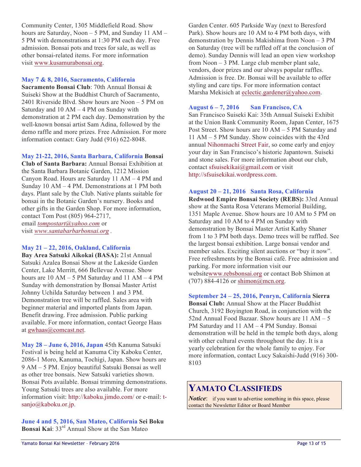Community Center, 1305 Middlefield Road. Show hours are Saturday, Noon - 5 PM, and Sunday 11 AM -5 PM with demonstrations at 1:30 PM each day. Free admission. Bonsai pots and trees for sale, as well as other bonsai-related items. For more information visit www.kusamurabonsai.org.

#### **May 7 & 8, 2016, Sacramento, California**

**Sacramento Bonsai Club**: 70th Annual Bonsai & Suiseki Show at the Buddhist Church of Sacramento, 2401 Riverside Blvd. Show hours are Noon – 5 PM on Saturday and 10 AM – 4 PM on Sunday with demonstration at 2 PM each day. Demonstration by the well-known bonsai artist Sam Adina, followed by the demo raffle and more prizes. Free Admission. For more information contact: Gary Judd (916) 622-8048.

#### **May 21-22, 2016, Santa Barbara, California Bonsai**

**Club of Santa Barbara:** Annual Bonsai Exhibition at the Santa Barbara Botanic Garden, 1212 Mission Canyon Road. Hours are Saturday 11 AM – 4 PM and Sunday 10 AM – 4 PM. Demonstrations at 1 PM both days. Plant sale by the Club. Native plants suitable for bonsai in the Botanic Garden's nursery. Books and other gifts in the Garden Shop. For more information, contact Tom Post (805) 964-2717, email *tompostart@yahoo.com* or visit *www.santabarbarbonsai.org .*

#### **May 21 – 22, 2016, Oakland, California**

**Bay Area Satsuki Aikokai (BASA):** 21st Annual Satsuki Azalea Bonsai Show at the Lakeside Garden Center, Lake Merritt, 666 Bellevue Avenue. Show hours are 10 AM – 5 PM Saturday and 11 AM – 4 PM Sunday with demonstration by Bonsai Master Artist Johnny Uchilda Saturday between 1 and 3 PM. Demonstration tree will be raffled. Sales area with beginner material and imported plants from Japan. Benefit drawing. Free admission. Public parking available. For more information, contact George Haas at gwhaas@comcast.net.

**May 28 – June 6, 2016, Japan** 45th Kanuma Satsuki Festival is being held at Kanuma City Kaboku Center, 2086-1 Moro, Kanuma, Tochigi, Japan. Show hours are 9 AM – 5 PM. Enjoy beautiful Satsuki Bonsai as well as other tree bonsais. New Satsuki varieties shown. Bonsai Pots available. Bonsai trimming demonstrations. Young Satsuki trees are also available. For more information visit: http://kaboku.jimdo.com/ or e-mail: tsanjo@kaboku.or.jp.

**June 4 and 5, 2016, San Mateo, California Sei Boku Bonsai Kai**: 33rd Annual Show at the San Mateo

Garden Center. 605 Parkside Way (next to Beresford Park). Show hours are 10 AM to 4 PM both days, with demonstration by Dennis Makishima from Noon – 3 PM on Saturday (tree will be raffled off at the conclusion of demo). Sunday Dennis will lead an open view workshop from Noon – 3 PM. Large club member plant sale, vendors, door prizes and our always popular raffles. Admission is free. Dr. Bonsai will be available to offer styling and care tips. For more information contact Marsha Mekisich at eclectic.gardener@yahoo.com.

#### **August 6 – 7, 2016 San Francisco, CA**

San Francisco Suiseki Kai: 35th Annual Suiseki Exhibit at the Union Bank Community Room, Japan Center, 1675 Post Street. Show hours are 10 AM – 5 PM Saturday and 11 AM – 5 PM Sunday. Show coincides with the 43rd annual Nihonmachi Street Fair, so come early and enjoy your day in San Francisco's historic Japantown. Suiseki and stone sales. For more information about our club, contact sfsuisekikai@gmail.com or visit http://sfsuisekikai.wordpress.com.

#### **August 20 – 21, 2016 Santa Rosa, California**

**Redwood Empire Bonsai Society (REBS):** 33rd Annual show at the Santa Rosa Veterans Memorial Building, 1351 Maple Avenue. Show hours are 10 AM to 5 PM on Saturday and 10 AM to 4 PM on Sunday with demonstration by Bonsai Master Artist Kathy Shaner from 1 to 3 PM both days. Demo trees will be raffled. See the largest bonsai exhibition. Large bonsai vendor and member sales. Exciting silent auctions or "buy it now". Free refreshments by the Bonsai café. Free admission and parking. For more information visit our websitewww.rebsbonsai.org or contact Bob Shimon at (707) 884-4126 or shimon@mcn.org.

#### **September 24 – 25, 2016, Penryn, California Sierra**

**Bonsai Club:** Annual Show at the Placer Buddhist Church, 3192 Boyington Road, in conjunction with the 52nd Annual Food Bazaar. Show hours are 11 AM – 5 PM Saturday and 11 AM – 4 PM Sunday. Bonsai demonstration will be held in the temple both days, along with other cultural events throughout the day. It is a yearly celebration for the whole family to enjoy. For more information, contact Lucy Sakaishi-Judd (916) 300- 8103

## **YAMATO CLASSIFIEDS**

*Notice*: if you want to advertise something in this space, please contact the Newsletter Editor or Board Member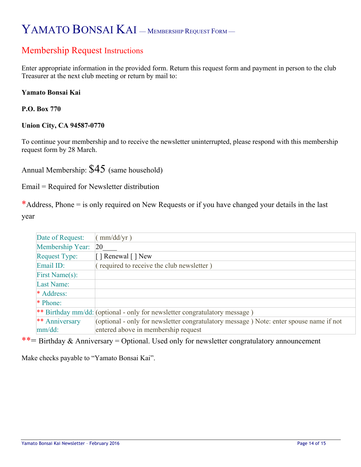# YAMATO BONSAI KAI – MEMBERSHIP REQUEST FORM –

# Membership Request Instructions

Enter appropriate information in the provided form. Return this request form and payment in person to the club Treasurer at the next club meeting or return by mail to:

### **Yamato Bonsai Kai**

**P.O. Box 770** 

### **Union City, CA 94587-0770**

To continue your membership and to receive the newsletter uninterrupted, please respond with this membership request form by 28 March.

Annual Membership: \$45 (same household)

Email = Required for Newsletter distribution

\*Address, Phone  $=$  is only required on New Requests or if you have changed your details in the last year

| Date of Request:     | (mm/dd/yr)                                                                             |
|----------------------|----------------------------------------------------------------------------------------|
| Membership Year:     | <b>20</b>                                                                              |
| <b>Request Type:</b> | [ ] Renewal [ ] New                                                                    |
| Email ID:            | (required to receive the club newsletter)                                              |
| First Name(s):       |                                                                                        |
| Last Name:           |                                                                                        |
| * Address:           |                                                                                        |
| * Phone:             |                                                                                        |
|                      | ** Birthday mm/dd: (optional - only for newsletter congratulatory message)             |
| ** Anniversary       | (optional - only for newsletter congratulatory message) Note: enter spouse name if not |
| mm/dd:               | entered above in membership request                                                    |

\*\*= Birthday & Anniversary = Optional. Used only for newsletter congratulatory announcement

Make checks payable to "Yamato Bonsai Kai".